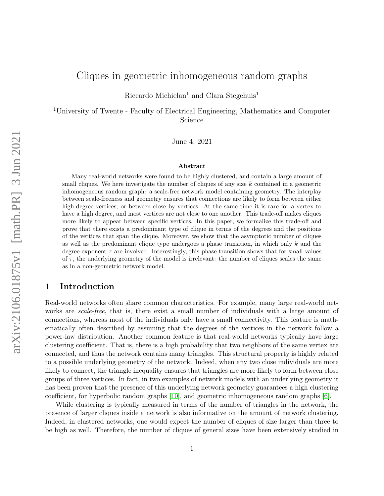# Cliques in geometric inhomogeneous random graphs

Riccardo Michielan<sup>1</sup> and Clara Stegehuis<sup>1</sup>

<sup>1</sup>University of Twente - Faculty of Electrical Engineering, Mathematics and Computer Science

June 4, 2021

#### Abstract

Many real-world networks were found to be highly clustered, and contain a large amount of small cliques. We here investigate the number of cliques of any size  $k$  contained in a geometric inhomogeneous random graph: a scale-free network model containing geometry. The interplay between scale-freeness and geometry ensures that connections are likely to form between either high-degree vertices, or between close by vertices. At the same time it is rare for a vertex to have a high degree, and most vertices are not close to one another. This trade-off makes cliques more likely to appear between specific vertices. In this paper, we formalize this trade-off and prove that there exists a predominant type of clique in terms of the degrees and the positions of the vertices that span the clique. Moreover, we show that the asymptotic number of cliques as well as the predominant clique type undergoes a phase transition, in which only  $k$  and the degree-exponent  $\tau$  are involved. Interestingly, this phase transition shows that for small values of  $\tau$ , the underlying geometry of the model is irrelevant: the number of cliques scales the same as in a non-geometric network model.

# 1 Introduction

Real-world networks often share common characteristics. For example, many large real-world networks are *scale-free*, that is, there exist a small number of individuals with a large amount of connections, whereas most of the individuals only have a small connectivity. This feature is mathematically often described by assuming that the degrees of the vertices in the network follow a power-law distribution. Another common feature is that real-world networks typically have large clustering coefficient. That is, there is a high probability that two neighbors of the same vertex are connected, and thus the network contains many triangles. This structural property is highly related to a possible underlying geometry of the network. Indeed, when any two close individuals are more likely to connect, the triangle inequality ensures that triangles are more likely to form between close groups of three vertices. In fact, in two examples of network models with an underlying geometry it has been proven that the presence of this underlying network geometry guarantees a high clustering coefficient, for hyperbolic random graphs [\[10\]](#page-18-0), and geometric inhomogeneous random graphs [\[6\]](#page-18-1).

While clustering is typically measured in terms of the number of triangles in the network, the presence of larger cliques inside a network is also informative on the amount of network clustering. Indeed, in clustered networks, one would expect the number of cliques of size larger than three to be high as well. Therefore, the number of cliques of general sizes have been extensively studied in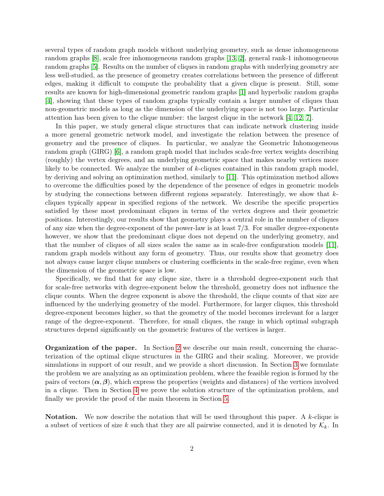several types of random graph models without underlying geometry, such as dense inhomogeneous random graphs [\[8\]](#page-18-2), scale free inhomogeneous random graphs [\[13,](#page-19-0) [2\]](#page-18-3), general rank-1 inhomogeneous random graphs [\[5\]](#page-18-4). Results on the number of cliques in random graphs with underlying geometry are less well-studied, as the presence of geometry creates correlations between the presence of different edges, making it difficult to compute the probability that a given clique is present. Still, some results are known for high-dimensional geometric random graphs [\[1\]](#page-18-5) and hyperbolic random graphs [\[4\]](#page-18-6), showing that these types of random graphs typically contain a larger number of cliques than non-geometric models as long as the dimension of the underlying space is not too large. Particular attention has been given to the clique number: the largest clique in the network [\[4,](#page-18-6) [12,](#page-19-1) [7\]](#page-18-7).

In this paper, we study general clique structures that can indicate network clustering inside a more general geometric network model, and investigate the relation between the presence of geometry and the presence of cliques. In particular, we analyze the Geometric Inhomogeneous random graph (GIRG) [\[6\]](#page-18-1), a random graph model that includes scale-free vertex weights describing (roughly) the vertex degrees, and an underlying geometric space that makes nearby vertices more likely to be connected. We analyze the number of k-cliques contained in this random graph model, by deriving and solving an optimization method, similarly to [\[11\]](#page-19-2). This optimization method allows to overcome the difficulties posed by the dependence of the presence of edges in geometric models by studying the connections between different regions separately. Interestingly, we show that  $k$ cliques typically appear in specified regions of the network. We describe the specific properties satisfied by these most predominant cliques in terms of the vertex degrees and their geometric positions. Interestingly, our results show that geometry plays a central role in the number of cliques of any size when the degree-exponent of the power-law is at least 7/3. For smaller degree-exponents however, we show that the predominant clique does not depend on the underlying geometry, and that the number of cliques of all sizes scales the same as in scale-free configuration models [\[11\]](#page-19-2), random graph models without any form of geometry. Thus, our results show that geometry does not always cause larger clique numbers or clustering coefficients in the scale-free regime, even when the dimension of the geometric space is low.

Specifically, we find that for any clique size, there is a threshold degree-exponent such that for scale-free networks with degree-exponent below the threshold, geometry does not influence the clique counts. When the degree exponent is above the threshold, the clique counts of that size are influenced by the underlying geometry of the model. Furthermore, for larger cliques, this threshold degree-exponent becomes higher, so that the geometry of the model becomes irrelevant for a larger range of the degree-exponent. Therefore, for small cliques, the range in which optimal subgraph structures depend significantly on the geometric features of the vertices is larger.

Organization of the paper. In Section [2](#page-3-0) we describe our main result, concerning the characterization of the optimal clique structures in the GIRG and their scaling. Moreover, we provide simulations in support of our result, and we provide a short discussion. In Section [3](#page-8-0) we formulate the problem we are analyzing as an optimization problem, where the feasible region is formed by the pairs of vectors  $(\alpha, \beta)$ , which express the properties (weights and distances) of the vertices involved in a clique. Then in Section [4](#page-10-0) we prove the solution structure of the optimization problem, and finally we provide the proof of the main theorem in Section [5.](#page-16-0)

**Notation.** We now describe the notation that will be used throughout this paper. A  $k$ -clique is a subset of vertices of size k such that they are all pairwise connected, and it is denoted by  $\mathcal{K}_k$ . In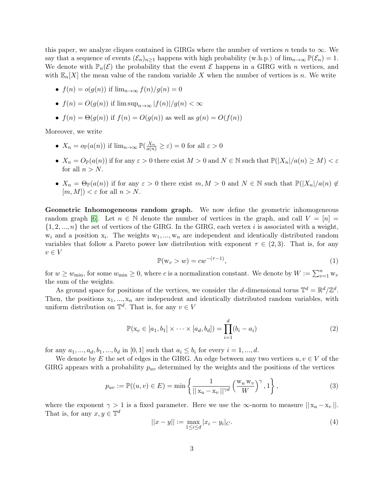this paper, we analyze cliques contained in GIRGs where the number of vertices n tends to  $\infty$ . We say that a sequence of events  $(\mathcal{E}_n)_{n>1}$  happens with high probability (w.h.p.) of  $\lim_{n\to\infty} \mathbb{P}(\mathcal{E}_n) = 1$ . We denote with  $\mathbb{P}_n(\mathcal{E})$  the probability that the event  $\mathcal E$  happens in a GIRG with n vertices, and with  $\mathbb{E}_n[X]$  the mean value of the random variable X when the number of vertices is n. We write

• 
$$
f(n) = o(g(n))
$$
 if  $\lim_{n \to \infty} f(n)/g(n) = 0$ 

• 
$$
f(n) = O(g(n))
$$
 if  $\limsup_{n \to \infty} |f(n)|/g(n) < \infty$ 

• 
$$
f(n) = \Theta(g(n))
$$
 if  $f(n) = O(g(n))$  as well as  $g(n) = O(f(n))$ 

Moreover, we write

- $X_n = o_{\mathbb{P}}(a(n))$  if  $\lim_{n \to \infty} \mathbb{P}(\frac{X_n}{a(n)} \geq \varepsilon) = 0$  for all  $\varepsilon > 0$
- $X_n = O_{\mathbb{P}}(a(n))$  if for any  $\varepsilon > 0$  there exist  $M > 0$  and  $N \in \mathbb{N}$  such that  $\mathbb{P}(|X_n|/a(n) \ge M) < \varepsilon$ for all  $n > N$ .
- $X_n = \Theta_{\mathbb{P}}(a(n))$  if for any  $\varepsilon > 0$  there exist  $m, M > 0$  and  $N \in \mathbb{N}$  such that  $\mathbb{P}(|X_n|/a(n) \notin \mathbb{N})$  $[m, M]) < \varepsilon$  for all  $n > N$ .

Geometric Inhomogeneous random graph. We now define the geometric inhomogeneous random graph [\[6\]](#page-18-1). Let  $n \in \mathbb{N}$  denote the number of vertices in the graph, and call  $V = [n]$  $\{1, 2, ..., n\}$  the set of vertices of the GIRG. In the GIRG, each vertex i is associated with a weight,  $w_i$  and a position  $x_i$ . The weights  $w_1, ..., w_n$  are independent and identically distributed random variables that follow a Pareto power law distribution with exponent  $\tau \in (2,3)$ . That is, for any  $v \in V$ 

<span id="page-2-1"></span>
$$
\mathbb{P}(w_v > w) = cw^{-(\tau - 1)},\tag{1}
$$

for  $w \geq w_{\min}$ , for some  $w_{\min} \geq 0$ , where c is a normalization constant. We denote by  $W := \sum_{v=1}^{n} w_v$ the sum of the weights.

As ground space for positions of the vertices, we consider the d-dimensional torus  $\mathbb{T}^d = \mathbb{R}^d / \mathbb{Z}^d$ . Then, the positions  $x_1, ..., x_n$  are independent and identically distributed random variables, with uniform distribution on  $\mathbb{T}^d$ . That is, for any  $v \in V$ 

<span id="page-2-2"></span>
$$
\mathbb{P}(\mathbf{x}_v \in [a_1, b_1] \times \cdots \times [a_d, b_d]) = \prod_{i=1}^d (b_i - a_i)
$$
\n(2)

for any  $a_1, ..., a_d, b_1, ..., b_d$  in [0, 1] such that  $a_i \leq b_i$  for every  $i = 1, ..., d$ .

We denote by E the set of edges in the GIRG. An edge between any two vertices  $u, v \in V$  of the GIRG appears with a probability  $p_{uv}$  determined by the weights and the positions of the vertices

<span id="page-2-0"></span>
$$
p_{uv} := \mathbb{P}((u, v) \in E) = \min\left\{ \frac{1}{||\mathbf{x}_u - \mathbf{x}_v||^{\gamma d}} \left(\frac{\mathbf{w}_u \mathbf{w}_v}{W}\right)^{\gamma}, 1 \right\},\tag{3}
$$

where the exponent  $\gamma > 1$  is a fixed parameter. Here we use the  $\infty$ -norm to measure  $||x_u - x_v||$ . That is, for any  $x, y \in \mathbb{T}^d$ 

$$
||x - y|| := \max_{1 \le i \le d} |x_i - y_i|_C.
$$
\n(4)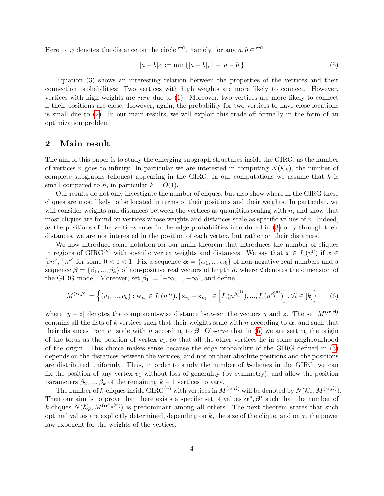Here  $|\cdot|_C$  denotes the distance on the circle  $\mathbb{T}^1$ , namely, for any  $a, b \in \mathbb{T}^1$ 

$$
|a - b|_C := \min\{|a - b|, 1 - |a - b|\}\tag{5}
$$

Equation [\(3\)](#page-2-0) shows an interesting relation between the properties of the vertices and their connection probabilities: Two vertices with high weights are more likely to connect. However, vertices with high weights are rare due to [\(1\)](#page-2-1). Moreover, two vertices are more likely to connect if their positions are close. However, again, the probability for two vertices to have close locations is small due to [\(2\)](#page-2-2). In our main results, we will exploit this trade-off formally in the form of an optimization problem.

### <span id="page-3-0"></span>2 Main result

The aim of this paper is to study the emerging subgraph structures inside the GIRG, as the number of vertices n goes to infinity. In particular we are interested in computing  $N(\mathcal{K}_k)$ , the number of complete subgraphs (cliques) appearing in the GIRG. In our computations we assume that  $k$  is small compared to *n*, in particular  $k = O(1)$ .

Our results do not only investigate the number of cliques, but also show where in the GIRG these cliques are most likely to be located in terms of their positions and their weights. In particular, we will consider weights and distances between the vertices as quantities scaling with  $n$ , and show that most cliques are found on vertices whose weights and distances scale as specific values of  $n$ . Indeed, as the positions of the vertices enter in the edge probabilities introduced in [\(3\)](#page-2-0) only through their distances, we are not interested in the position of each vertex, but rather on their distances.

We now introduce some notation for our main theorem that introduces the number of cliques in regions of GIRG<sup>(n)</sup> with specific vertex weights and distances. We say that  $x \in I_{\varepsilon}(n^{\nu})$  if  $x \in I_{\varepsilon}(n^{\nu})$  $[\varepsilon n^\nu, \frac{1}{\varepsilon}]$  $\frac{1}{\varepsilon}n^{\nu}$  for some  $0 < \varepsilon < 1$ . Fix a sequence  $\alpha = \{\alpha_1, ..., \alpha_k\}$  of non-negative real numbers and a sequence  $\beta = {\beta_1, ..., \beta_k}$  of non-positive real vectors of length d, where d denotes the dimension of the GIRG model. Moreover, set  $\beta_1 := [-\infty, ..., -\infty]$ , and define

<span id="page-3-1"></span>
$$
M^{(\alpha,\beta)} = \left\{ (v_1, ..., v_k) : \mathbf{w}_{v_i} \in I_{\varepsilon}(n^{\alpha_i}), |\mathbf{x}_{v_i} - \mathbf{x}_{v_1}| \in \left[ I_{\varepsilon}(n^{\beta_i^{(1)}}), ..., I_{\varepsilon}(n^{\beta_i^{(d)}}) \right], \forall i \in [k] \right\}
$$
(6)

where  $|y - z|$  denotes the component-wise distance between the vectors y and z. The set  $M^{(\alpha,\beta)}$ contains all the lists of k vertices such that their weights scale with n according to  $\alpha$ , and such that their distances from  $v_1$  scale with n according to  $\beta$ . Observe that in [\(6\)](#page-3-1) we are setting the origin of the torus as the position of vertex  $v_1$ , so that all the other vertices lie in some neighbourhood of the origin. This choice makes sense because the edge probability of the GIRG defined in [\(3\)](#page-2-0) depends on the distances between the vertices, and not on their absolute positions and the positions are distributed uniformly. Thus, in order to study the number of k-cliques in the GIRG, we can fix the position of any vertex  $v_1$  without loss of generality (by symmetry), and allow the position parameters  $\beta_2, ..., \beta_k$  of the remaining  $k-1$  vertices to vary.

The number of k-cliques inside  $GIRG^{(n)}$  with vertices in  $M^{(\boldsymbol{\alpha},\boldsymbol{\beta})}$  will be denoted by  $N(\mathcal{K}_k, M^{(\boldsymbol{\alpha},\boldsymbol{\beta})}).$ Then our aim is to prove that there exists a specific set of values  $\alpha^*, \beta^*$  such that the number of k-cliques  $N(\mathcal{K}_k, M^{(\alpha^*, \beta^*)})$  is predominant among all others. The next theorem states that such optimal values are explicitly determined, depending on k, the size of the clique, and on  $\tau$ , the power law exponent for the weights of the vertices.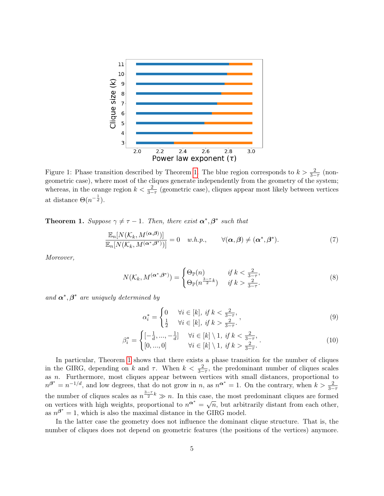<span id="page-4-1"></span>

Figure 1: Phase transition described by Theorem [1.](#page-4-0) The blue region corresponds to  $k > \frac{2}{3-\tau}$  (nongeometric case), where most of the cliques generate independently from the geometry of the system; whereas, in the orange region  $k < \frac{2}{3-\tau}$  (geometric case), cliques appear most likely between vertices at distance  $\Theta(n^{-\frac{1}{d}})$ .

<span id="page-4-0"></span>**Theorem 1.** Suppose  $\gamma \neq \tau - 1$ . Then, there exist  $\alpha^*, \beta^*$  such that

<span id="page-4-2"></span>
$$
\frac{\mathbb{E}_n[N(\mathcal{K}_k, M^{(\boldsymbol{\alpha},\boldsymbol{\beta})})]}{\mathbb{E}_n[N(\mathcal{K}_k, M^{(\boldsymbol{\alpha}^*,\boldsymbol{\beta}^*)})]} = 0 \quad w.h.p., \qquad \forall (\boldsymbol{\alpha},\boldsymbol{\beta}) \neq (\boldsymbol{\alpha}^*,\boldsymbol{\beta}^*).
$$
\n(7)

Moreover,

$$
N(\mathcal{K}_k, M^{(\alpha^*, \beta^*)}) = \begin{cases} \Theta_{\mathbb{P}}(n) & \text{if } k < \frac{2}{3-\tau}, \\ \Theta_{\mathbb{P}}(n^{\frac{3-\tau}{2}k}) & \text{if } k > \frac{2}{3-\tau}. \end{cases} \tag{8}
$$

and  $\alpha^*, \beta^*$  are uniquely determined by

<span id="page-4-3"></span>
$$
\alpha_i^* = \begin{cases} 0 & \forall i \in [k], \text{ if } k < \frac{2}{3-\tau}, \\ \frac{1}{2} & \forall i \in [k], \text{ if } k > \frac{2}{3-\tau}. \end{cases}
$$
(9)

$$
\beta_i^* = \begin{cases}\n\left[-\frac{1}{d}, \dots, -\frac{1}{d}\right] & \forall i \in [k] \setminus 1, \text{ if } k < \frac{2}{3-\tau}, \\
\left[0, \dots, 0\right] & \forall i \in [k] \setminus 1, \text{ if } k > \frac{2}{3-\tau}.\n\end{cases} \tag{10}
$$

In particular, Theorem [1](#page-4-0) shows that there exists a phase transition for the number of cliques in the GIRG, depending on k and  $\tau$ . When  $k < \frac{2}{3-\tau}$ , the predominant number of cliques scales as n. Furthermore, most cliques appear between vertices with small distances, proportional to  $n^{\beta^*} = n^{-1/d}$ , and low degrees, that do not grow in n, as  $n^{\alpha^*} = 1$ . On the contrary, when  $k > \frac{2}{3-\tau}$ the number of cliques scales as  $n^{\frac{3-\tau}{2}k} \gg n$ . In this case, the most predominant cliques are formed on vertices with high weights, proportional to  $n^{\alpha^*} = \sqrt{n}$ , but arbitrarily distant from each other, as  $n^{\beta^*} = 1$ , which is also the maximal distance in the GIRG model.

In the latter case the geometry does not influence the dominant clique structure. That is, the number of cliques does not depend on geometric features (the positions of the vertices) anymore.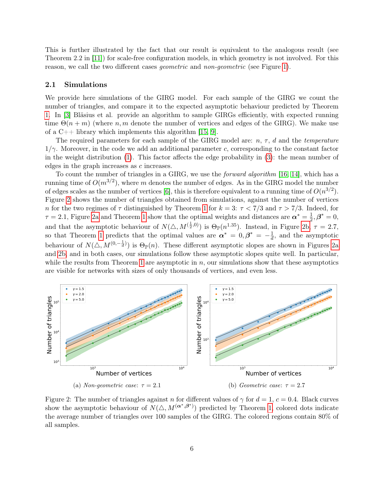This is further illustrated by the fact that our result is equivalent to the analogous result (see Theorem 2.2 in [\[11\]](#page-19-2)) for scale-free configuration models, in which geometry is not involved. For this reason, we call the two different cases geometric and non-geometric (see Figure [1\)](#page-4-1).

#### 2.1 Simulations

We provide here simulations of the GIRG model. For each sample of the GIRG we count the number of triangles, and compare it to the expected asymptotic behaviour predicted by Theorem [1.](#page-4-0) In [\[3\]](#page-18-8) Bläsius et al. provide an algorithm to sample GIRGs efficiently, with expected running time  $\Theta(n+m)$  (where n, m denote the number of vertices and edges of the GIRG). We make use of a  $C_{++}$  library which implements this algorithm [\[15,](#page-19-3) [9\]](#page-18-9).

The required parameters for each sample of the GIRG model are:  $n, \tau, d$  and the *temperature*  $1/\gamma$ . Moreover, in the code we add an additional parameter c, corresponding to the constant factor in the weight distribution [\(1\)](#page-2-1). This factor affects the edge probability in [\(3\)](#page-2-0): the mean number of edges in the graph increases as c increases.

To count the number of triangles in a GIRG, we use the *forward algorithm* [\[16,](#page-19-4) [14\]](#page-19-5), which has a running time of  $O(m^{3/2})$ , where m denotes the number of edges. As in the GIRG model the number of edges scales as the number of vertices [\[6\]](#page-18-1), this is therefore equivalent to a running time of  $O(n^{3/2})$ . Figure [2](#page-5-0) shows the number of triangles obtained from simulations, against the number of vertices n for the two regimes of  $\tau$  distinguished by Theorem [1](#page-4-0) for  $k = 3$ :  $\tau < 7/3$  and  $\tau > 7/3$ . Indeed, for  $\tau = 2.1$ , Figure [2a](#page-5-0) and Theorem [1](#page-4-0) show that the optimal weights and distances are  $\alpha^* = \frac{1}{2}$  $\frac{1}{2}, \boldsymbol{\beta}^* = 0,$ and that the asymptotic behaviour of  $N(\triangle, M^{(\frac{1}{2},0)})$  is  $\Theta_{\mathbb{P}}(n^{1.35})$ . Instead, in Figure [2b,](#page-5-0)  $\tau = 2.7$ , so that Theorem [1](#page-4-0) predicts that the optimal values are  $\alpha^* = 0, \beta^* = -\frac{1}{d}$  $\frac{1}{d}$ , and the asymptotic behaviour of  $N(\triangle, M^{(0, -\frac{1}{d})})$  is  $\Theta_{\mathbb{P}}(n)$ . These different asymptotic slopes are shown in Figures [2a](#page-5-0) and [2b,](#page-5-0) and in both cases, our simulations follow these asymptotic slopes quite well. In particular, while the results from Theorem [1](#page-4-0) are asymptotic in  $n$ , our simulations show that these asymptotics are visible for networks with sizes of only thousands of vertices, and even less.

<span id="page-5-0"></span>

Figure 2: The number of triangles against n for different values of  $\gamma$  for  $d = 1, c = 0.4$ . Black curves show the asymptotic behaviour of  $N(\triangle, M^{(\alpha^*, \beta^*)})$  predicted by Theorem [1,](#page-4-0) colored dots indicate the average number of triangles over 100 samples of the GIRG. The colored regions contain 80% of all samples.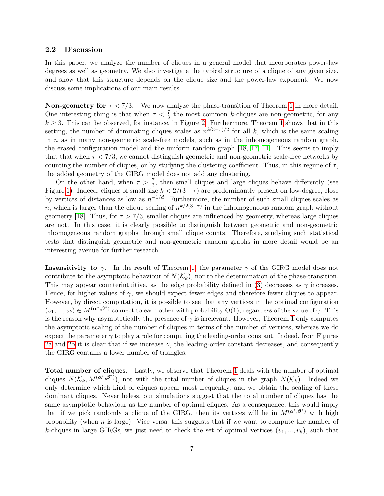#### 2.2 Discussion

In this paper, we analyze the number of cliques in a general model that incorporates power-law degrees as well as geometry. We also investigate the typical structure of a clique of any given size, and show that this structure depends on the clique size and the power-law exponent. We now discuss some implications of our main results.

**Non-geometry for**  $\tau < 7/3$ . We now analyze the phase-transition of Theorem [1](#page-4-0) in more detail. One interesting thing is that when  $\tau < \frac{7}{3}$  the most common k-cliques are non-geometric, for any  $k \geq 3$ . This can be observed, for instance, in Figure [2.](#page-5-0) Furthermore, Theorem [1](#page-4-0) shows that in this setting, the number of dominating cliques scales as  $n^{k(3-\tau)/2}$  for all k, which is the same scaling in  $n$  as in many non-geometric scale-free models, such as in the inhomogeneous random graph, the erased configuration model and the uniform random graph [\[18,](#page-19-6) [17,](#page-19-7) [11\]](#page-19-2). This seems to imply that that when  $\tau < 7/3$ , we cannot distinguish geometric and non-geometric scale-free networks by counting the number of cliques, or by studying the clustering coefficient. Thus, in this regime of  $\tau$ , the added geometry of the GIRG model does not add any clustering.

On the other hand, when  $\tau > \frac{7}{3}$ , then small cliques and large cliques behave differently (see Figure [1\)](#page-4-1). Indeed, cliques of small size  $k < 2/(3-\tau)$  are predominantly present on low-degree, close by vertices of distances as low as  $n^{-1/d}$ . Furthermore, the number of such small cliques scales as n, which is larger than the clique scaling of  $n^{k/2(3-\tau)}$  in the inhomogeneous random graph without geometry [\[18\]](#page-19-6). Thus, for  $\tau > 7/3$ , smaller cliques are influenced by geometry, whereas large cliques are not. In this case, it is clearly possible to distinguish between geometric and non-geometric inhomogeneous random graphs through small clique counts. Therefore, studying such statistical tests that distinguish geometric and non-geometric random graphs in more detail would be an interesting avenue for further research.

**Insensitivity to**  $\gamma$ **.** In the result of Theorem [1,](#page-4-0) the parameter  $\gamma$  of the GIRG model does not contribute to the asymptotic behaviour of  $N(\mathcal{K}_k)$ , nor to the determination of the phase-transition. This may appear counterintuitive, as the edge probability defined in [\(3\)](#page-2-0) decreases as  $\gamma$  increases. Hence, for higher values of  $\gamma$ , we should expect fewer edges and therefore fewer cliques to appear. However, by direct computation, it is possible to see that any vertices in the optimal configuration  $(v_1,...,v_k) \in M^{(\alpha^*,\beta^*)}$  connect to each other with probability  $\Theta(1)$ , regardless of the value of  $\gamma$ . This is the reason why asymptotically the presence of  $\gamma$  is irrelevant. However, Theorem [1](#page-4-0) only computes the asymptotic scaling of the number of cliques in terms of the number of vertices, whereas we do expect the parameter  $\gamma$  to play a role for computing the leading-order constant. Indeed, from Figures [2a](#page-5-0) and [2b](#page-5-0) it is clear that if we increase  $\gamma$ , the leading-order constant decreases, and consequently the GIRG contains a lower number of triangles.

Total number of cliques. Lastly, we observe that Theorem [1](#page-4-0) deals with the number of optimal cliques  $N(\mathcal{K}_k, M^{(\boldsymbol{\alpha}^*,\boldsymbol{\beta}^*)})$ , not with the total number of cliques in the graph  $N(\mathcal{K}_k)$ . Indeed we only determine which kind of cliques appear most frequently, and we obtain the scaling of these dominant cliques. Nevertheless, our simulations suggest that the total number of cliques has the same asymptotic behaviour as the number of optimal cliques. As a consequence, this would imply that if we pick randomly a clique of the GIRG, then its vertices will be in  $M^{(\alpha^*,\beta^*)}$  with high probability (when  $n$  is large). Vice versa, this suggests that if we want to compute the number of k-cliques in large GIRGs, we just need to check the set of optimal vertices  $(v_1, ..., v_k)$ , such that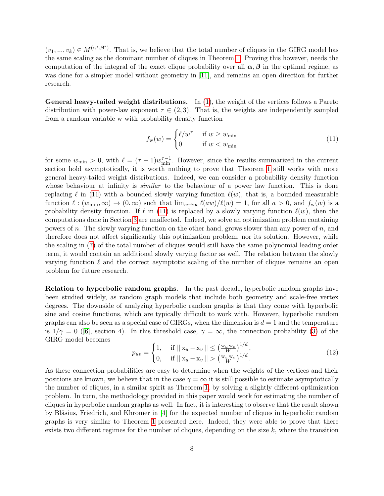$(v_1, ..., v_k) \in M^{(\alpha^*, \beta^*)}$ . That is, we believe that the total number of cliques in the GIRG model has the same scaling as the dominant number of cliques in Theorem [1.](#page-4-0) Proving this however, needs the computation of the integral of the exact clique probability over all  $\alpha, \beta$  in the optimal regime, as was done for a simpler model without geometry in [\[11\]](#page-19-2), and remains an open direction for further research.

General heavy-tailed weight distributions. In [\(1\)](#page-2-1), the weight of the vertices follows a Pareto distribution with power-law exponent  $\tau \in (2,3)$ . That is, the weights are independently sampled from a random variable w with probability density function

<span id="page-7-0"></span>
$$
f_{\mathbf{w}}(w) = \begin{cases} \ell/w^{\tau} & \text{if } w \ge w_{\text{min}} \\ 0 & \text{if } w < w_{\text{min}} \end{cases}
$$
 (11)

for some  $w_{\min} > 0$ , with  $\ell = (\tau - 1)w_{\min}^{\tau-1}$ . However, since the results summarized in the current section hold asymptotically, it is worth nothing to prove that Theorem [1](#page-4-0) still works with more general heavy-tailed weight distributions. Indeed, we can consider a probability density function whose behaviour at infinity is *similar* to the behaviour of a power law function. This is done replacing  $\ell$  in [\(11\)](#page-7-0) with a bounded slowly varying function  $\ell(w)$ , that is, a bounded measurable function  $\ell : (w_{\min}, \infty) \to (0, \infty)$  such that  $\lim_{w\to\infty} \ell(aw)/\ell(w) = 1$ , for all  $a > 0$ , and  $f_w(w)$  is a probability density function. If  $\ell$  in [\(11\)](#page-7-0) is replaced by a slowly varying function  $\ell(w)$ , then the computations done in Section [3](#page-8-0) are unaffected. Indeed, we solve an optimization problem containing powers of n. The slowly varying function on the other hand, grows slower than any power of  $n$ , and therefore does not affect significantly this optimization problem, nor its solution. However, while the scaling in [\(7\)](#page-4-2) of the total number of cliques would still have the same polynomial leading order term, it would contain an additional slowly varying factor as well. The relation between the slowly varying function  $\ell$  and the correct asymptotic scaling of the number of cliques remains an open problem for future research.

Relation to hyperbolic random graphs. In the past decade, hyperbolic random graphs have been studied widely, as random graph models that include both geometry and scale-free vertex degrees. The downside of analyzing hyperbolic random graphs is that they come with hyperbolic sine and cosine functions, which are typically difficult to work with. However, hyperbolic random graphs can also be seen as a special case of GIRGs, when the dimension is  $d = 1$  and the temperature is  $1/\gamma = 0$  ([\[6\]](#page-18-1), section 4). In this threshold case,  $\gamma = \infty$ , the connection probability [\(3\)](#page-2-0) of the GIRG model becomes

$$
p_{uv} = \begin{cases} 1, & \text{if } ||x_u - x_v|| \le (\frac{w_u w_v}{W})^{1/d}, \\ 0, & \text{if } ||x_u - x_v|| > (\frac{w_u w_v}{W})^{1/d}. \end{cases}
$$
(12)

As these connection probabilities are easy to determine when the weights of the vertices and their positions are known, we believe that in the case  $\gamma = \infty$  it is still possible to estimate asymptotically the number of cliques, in a similar spirit as Theorem [1,](#page-4-0) by solving a slightly different optimization problem. In turn, the methodology provided in this paper would work for estimating the number of cliques in hyperbolic random graphs as well. In fact, it is interesting to observe that the result shown by Bläsius, Friedrich, and Khromer in [\[4\]](#page-18-6) for the expected number of cliques in hyperbolic random graphs is very similar to Theorem [1](#page-4-0) presented here. Indeed, they were able to prove that there exists two different regimes for the number of cliques, depending on the size k, where the transition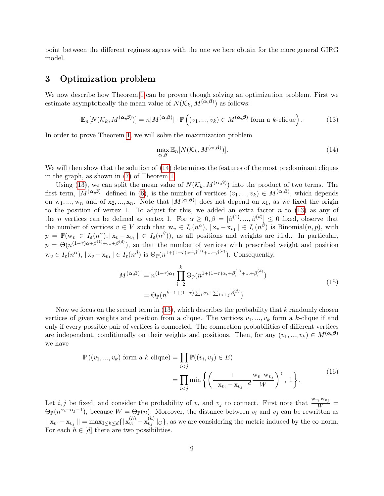point between the different regimes agrees with the one we here obtain for the more general GIRG model.

# <span id="page-8-0"></span>3 Optimization problem

We now describe how Theorem [1](#page-4-0) can be proven though solving an optimization problem. First we estimate asymptotically the mean value of  $N(\mathcal{K}_k, M^{(\alpha,\beta)})$  as follows:

<span id="page-8-2"></span>
$$
\mathbb{E}_n[N(\mathcal{K}_k, M^{(\alpha,\beta)})] = n|M^{(\alpha,\beta)}| \cdot \mathbb{P}\left((v_1, ..., v_k) \in M^{(\alpha,\beta)} \text{ form a } k\text{-clique}\right).
$$
 (13)

In order to prove Theorem [1,](#page-4-0) we will solve the maximization problem

<span id="page-8-1"></span>
$$
\max_{\mathbf{\alpha},\mathbf{\beta}} \mathbb{E}_n[N(\mathcal{K}_k, M^{(\mathbf{\alpha},\mathbf{\beta})})]. \tag{14}
$$

We will then show that the solution of  $(14)$  determines the features of the most predominant cliques in the graph, as shown in [\(7\)](#page-4-2) of Theorem [1.](#page-4-0)

Using [\(13\)](#page-8-2), we can split the mean value of  $N(\mathcal{K}_k, M^{(\alpha,\beta)})$  into the product of two terms. The first term,  $|M^{(\alpha,\beta)}|$  defined in [\(6\)](#page-3-1), is the number of vertices  $(v_1,...,v_k) \in M^{(\alpha,\beta)}$ , which depends on  $w_1, ..., w_n$  and of  $x_2, ..., x_n$ . Note that  $|M^{(\alpha,\beta)}|$  does not depend on  $x_1$ , as we fixed the origin to the position of vertex 1. To adjust for this, we added an extra factor  $n$  to [\(13\)](#page-8-2) as any of the *n* vertices can be defined as vertex 1. For  $\alpha \geq 0, \beta = [\beta^{(1)}, ..., \beta^{(d)}] \leq 0$  fixed, observe that the number of vertices  $v \in V$  such that  $w_v \in I_\varepsilon(n^\alpha)$ ,  $|x_v - x_{v_1}| \in I_\varepsilon(n^\beta)$  is Binomial $(n, p)$ , with  $p = \mathbb{P}(\mathbf{w}_v \in I_\varepsilon(n^\alpha), |\mathbf{x}_v - \mathbf{x}_{v_1}| \in I_\varepsilon(n^\beta)),$  as all positions and weights are i.i.d.. In particular,  $p = \Theta(n^{(1-\tau)\alpha+\beta^{(1)}+\dots+\beta^{(d)}})$ , so that the number of vertices with prescribed weight and position  $\mathbf{w}_v \in I_\varepsilon(n^\alpha), \, |\mathbf{x}_v - \mathbf{x}_{v_1}| \in I_\varepsilon(n^\beta)$  is  $\Theta_{\mathbb{P}}(n^{1+(1-\tau)\alpha+\beta^{(1)}+\ldots+\beta^{(d)}})$ . Consequently,

$$
|M^{(\alpha,\beta)}| = n^{(1-\tau)\alpha_1} \prod_{i=2}^{k} \Theta_{\mathbb{P}}(n^{1+(1-\tau)\alpha_i + \beta_i^{(1)} + \dots + \beta_i^{(d)}})
$$
  
= 
$$
\Theta_{\mathbb{P}}(n^{k-1+(1-\tau)\sum_i \alpha_i + \sum_{i>1,j} \beta_i^{(j)}})
$$
 (15)

<span id="page-8-4"></span>Now we focus on the second term in  $(13)$ , which describes the probability that k randomly chosen vertices of given weights and position from a clique. The vertices  $v_1, ..., v_k$  form a k-clique if and only if every possible pair of vertices is connected. The connection probabilities of different vertices are independent, conditionally on their weights and positions. Then, for any  $(v_1, ..., v_k) \in M^{(\alpha,\beta)}$ we have

$$
\mathbb{P}((v_1, ..., v_k) \text{ form a } k\text{-clique}) = \prod_{i < j} \mathbb{P}((v_i, v_j) \in E)
$$
\n
$$
= \prod_{i < j} \min \left\{ \left( \frac{1}{||\mathbf{x}_{v_i} - \mathbf{x}_{v_j}||^d} \frac{\mathbf{w}_{v_i} \mathbf{w}_{v_j}}{W} \right)^{\gamma}, 1 \right\}. \tag{16}
$$

<span id="page-8-3"></span>Let *i*, *j* be fixed, and consider the probability of  $v_i$  and  $v_j$  to connect. First note that  $\frac{w_{v_i}w_{v_j}}{W}$  $\Theta_{\mathbb{P}}(n^{\alpha_i+\alpha_j-1}),$  because  $W=\Theta_{\mathbb{P}}(n)$ . Moreover, the distance between  $v_i$  and  $v_j$  can be rewritten as  $||x_{v_i} - x_{v_j}|| = \max_{1 \leq h \leq d} \{ |x_{v_i}^{(h)} - x_{v_j}^{(h)}|_C \}$ , as we are considering the metric induced by the  $\infty$ -norm. For each  $h \in [d]$  there are two possibilities.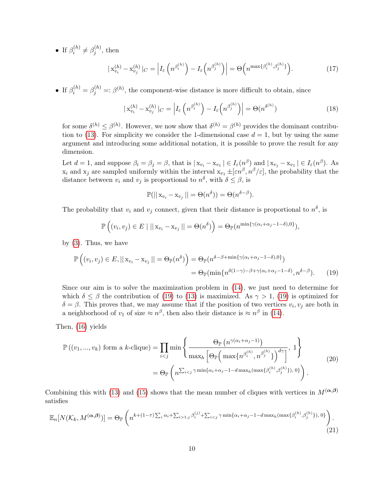• If  $\beta_i^{(h)}$  $\beta_j^{(h)} \neq \beta_j^{(h)}$  $j^{(n)}$ , then

$$
\left| \mathbf{x}_{v_i}^{(h)} - \mathbf{x}_{v_j}^{(h)} \right|_C = \left| I_\varepsilon \left( n^{\beta_i^{(h)}} \right) - I_\varepsilon \left( n^{\beta_j^{(h)}} \right) \right| = \Theta \left( n^{\max\{\beta_i^{(h)}, \beta_j^{(h)}\}} \right). \tag{17}
$$

• If  $\beta_i^{(h)} = \beta_j^{(h)} =: \beta^{(h)}$ , the component-wise distance is more difficult to obtain, since

$$
\left| \mathbf{x}_{v_i}^{(h)} - \mathbf{x}_{v_j}^{(h)} \right|_C = \left| I_\varepsilon \left( n^{\beta_i^{(h)}} \right) - I_\varepsilon \left( n^{\beta_j^{(h)}} \right) \right| = \Theta(n^{\delta^{(h)}}) \tag{18}
$$

for some  $\delta^{(h)} \leq \beta^{(h)}$ . However, we now show that  $\delta^{(h)} = \beta^{(h)}$  provides the dominant contribu-tion to [\(13\)](#page-8-2). For simplicity we consider the 1-dimensional case  $d = 1$ , but by using the same argument and introducing some additional notation, it is possible to prove the result for any dimension.

Let  $d = 1$ , and suppose  $\beta_i = \beta_j = \beta$ , that is  $|x_{v_i} - x_{v_1}| \in I_{\varepsilon}(n^{\beta})$  and  $|x_{v_j} - x_{v_1}| \in I_{\varepsilon}(n^{\beta})$ . As  $x_i$  and  $x_j$  are sampled uniformly within the interval  $x_{v_1} \pm [\varepsilon n^{\beta}, n^{\beta}/\varepsilon]$ , the probability that the distance between  $v_i$  and  $v_j$  is proportional to  $n^{\delta}$ , with  $\delta \leq \beta$ , is

<span id="page-9-0"></span>
$$
\mathbb{P}(||x_{v_i} - x_{v_j}|| = \Theta(n^{\delta})) = \Theta(n^{\delta - \beta}).
$$

The probability that  $v_i$  and  $v_j$  connect, given that their distance is proportional to  $n^{\delta}$ , is

$$
\mathbb{P}\left((v_i, v_j) \in E \mid ||x_{v_i} - x_{v_j}|| = \Theta(n^{\delta})\right) = \Theta_{\mathbb{P}}(n^{\min\{\gamma(\alpha_i + \alpha_j - 1 - \delta), 0\}}),
$$

by [\(3\)](#page-2-0). Thus, we have

$$
\mathbb{P}\left((v_i, v_j) \in E, ||x_{v_i} - x_{v_j}|| = \Theta_{\mathbb{P}}(n^{\delta})\right) = \Theta_{\mathbb{P}}(n^{\delta - \beta + \min\{\gamma(\alpha_i + \alpha_j - 1 - \delta), 0\}})
$$

$$
= \Theta_{\mathbb{P}}(\min\{n^{\delta(1 - \gamma) - \beta + \gamma(\alpha_i + \alpha_j - 1 - \delta)}, n^{\delta - \beta}\}.\tag{19}
$$

Since our aim is to solve the maximization problem in [\(14\)](#page-8-1), we just need to determine for which  $\delta \leq \beta$  the contribution of [\(19\)](#page-9-0) to [\(13\)](#page-8-2) is maximized. As  $\gamma > 1$ , (19) is optimized for  $\delta = \beta$ . This proves that, we may assume that if the position of two vertices  $v_i, v_j$  are both in a neighborhood of  $v_1$  of size  $\approx n^{\beta}$ , then also their distance is  $\approx n^{\beta}$  in [\(14\)](#page-8-1).

Then, [\(16\)](#page-8-3) yields

$$
\mathbb{P}\left((v_1, ..., v_k) \text{ form a } k\text{-clique}\right) = \prod_{i < j} \min \left\{ \frac{\Theta_{\mathbb{P}}\left(n^{\gamma(\alpha_i + \alpha_j - 1)}\right)}{\max_h \left[\Theta_{\mathbb{P}}\left(\max\{n^{\beta_i^{(h)}, n^{\beta_j^{(h)}}\}\right)^{d\gamma}\right]}, 1 \right\} \n= \Theta_{\mathbb{P}}\left(n^{\sum_{i < j} \gamma \min\{\alpha_i + \alpha_j - 1 - d \max_h (\max\{\beta_i^{(h)}, \beta_j^{(h)}\}), 0\}\right).
$$
\n(20)

Combining this with [\(13\)](#page-8-2) and [\(15\)](#page-8-4) shows that the mean number of cliques with vertices in  $M^{(\alpha,\beta)}$ satisfies

<span id="page-9-1"></span>
$$
\mathbb{E}_n[N(\mathcal{K}_k, M^{(\alpha,\beta)})] = \Theta_{\mathbb{P}}\left(n^{k+(1-\tau)\sum_i \alpha_i + \sum_{i>1,j} \beta_i^{(j)} + \sum_{i\n(21)
$$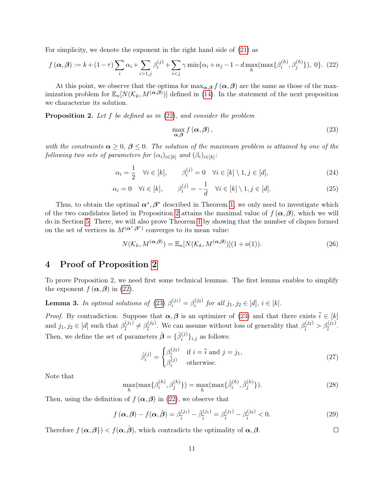For simplicity, we denote the exponent in the right hand side of [\(21\)](#page-9-1) as

<span id="page-10-1"></span>
$$
f(\alpha, \beta) := k + (1 - \tau) \sum_{i} \alpha_i + \sum_{i > 1, j} \beta_i^{(j)} + \sum_{i < j} \gamma \min\{\alpha_i + \alpha_j - 1 - d \max_h(\max\{\beta_i^{(h)}, \beta_j^{(h)}\}), 0\}. \tag{22}
$$

At this point, we observe that the optima for  $\max_{\alpha,\beta} f(\alpha,\beta)$  are the same as those of the maximization problem for  $\mathbb{E}_n[N(\mathcal{K}_k, M^{(\alpha,\beta)})]$  defined in [\(14\)](#page-8-1). In the statement of the next proposition we characterize its solution.

<span id="page-10-2"></span>**Proposition 2.** Let f be defined as in  $(22)$ , and consider the problem

<span id="page-10-6"></span><span id="page-10-5"></span><span id="page-10-3"></span>
$$
\max_{\alpha,\beta} f(\alpha,\beta),\tag{23}
$$

with the constraints  $\alpha \geq 0$ ,  $\beta \leq 0$ . The solution of the maximum problem is attained by one of the  $\textit{following two sets of parameters for }(\alpha_i)_{i\in[k]} \textit{ and }(\beta_i)_{i\in[k]}\text{: }$ 

$$
\alpha_i = \frac{1}{2} \quad \forall i \in [k], \qquad \beta_i^{(j)} = 0 \quad \forall i \in [k] \setminus 1, j \in [d], \tag{24}
$$

$$
\alpha_i = 0 \quad \forall i \in [k], \qquad \beta_i^{(j)} = -\frac{1}{d} \quad \forall i \in [k] \setminus 1, j \in [d]. \tag{25}
$$

Thus, to obtain the optimal  $\alpha^*, \beta^*$  described in Theorem [1,](#page-4-0) we only need to investigate which of the two candidates listed in Proposition [2](#page-10-2) attains the maximal value of  $f(\alpha, \beta)$ , which we will do in Section [5.](#page-16-0) There, we will also prove Theorem [1](#page-4-0) by showing that the number of cliques formed on the set of vertices in  $M^{(\alpha^*,\beta^*)}$  converges to its mean value:

$$
N(\mathcal{K}_k, M^{(\alpha,\beta)}) = \mathbb{E}_n[N(\mathcal{K}_k, M^{(\alpha,\beta)})](1+o(1)).
$$
\n(26)

## <span id="page-10-0"></span>4 Proof of Proposition [2](#page-10-2)

To prove Proposition 2, we need first some technical lemmas. The first lemma enables to simplify the exponent  $f(\boldsymbol{\alpha}, \boldsymbol{\beta})$  in [\(22\)](#page-10-1).

<span id="page-10-4"></span>**Lemma 3.** In optimal solutions of [\(23\)](#page-10-3)  $\beta_i^{(j_1)} = \beta_i^{(j_2)}$  $i^{(j_2)}$  for all  $j_1, j_2 \in [d], i \in [k].$ 

*Proof.* By contradiction. Suppose that  $\alpha, \beta$  is an optimizer of [\(23\)](#page-10-3) and that there exists  $\bar{i} \in [k]$ and  $j_1, j_2 \in [d]$  such that  $\beta_{\overline{i}}^{(j_1)}$  $\frac{\beta_{i}(j_1)}{\bar{i}} \neq \beta_{\bar{i}}^{(j_2)}$  $\frac{\beta^{(j_2)}}{\bar{i}}$ . We can assume without loss of generality that  $\beta^{(j_2)}_{\bar{i}}$  $\frac{\beta^{(j_2)}}{\bar{i}} > \beta^{(j_1)}_{\bar{i}}.$ Then, we define the set of parameters  $\hat{\boldsymbol{\beta}} = \{\hat{\beta}_i^{(j)}\}$  $\{u^{(j)}\}_{i,j}$  as follows:

$$
\hat{\beta}_i^{(j)} = \begin{cases}\n\beta_{\overline{i}}^{(j_2)} & \text{if } i = \overline{i} \text{ and } j = j_1, \\
\beta_i^{(j)} & \text{otherwise.} \n\end{cases}
$$
\n(27)

 $\Box$ 

Note that

$$
\max_{h}(\max\{\beta_i^{(h)}, \beta_j^{(h)}\}) = \max_{h}(\max\{\hat{\beta}_i^{(h)}, \hat{\beta}_j^{(h)}\}).
$$
\n(28)

Then, using the definition of  $f(\boldsymbol{\alpha}, \boldsymbol{\beta})$  in [\(22\)](#page-10-1), we observe that

$$
f(\alpha, \beta) - f(\alpha, \hat{\beta}) = \beta_{\bar{i}}^{(j_1)} - \hat{\beta}_{\bar{i}}^{(j_1)} = \beta_{\bar{i}}^{(j_1)} - \beta_{\bar{i}}^{(j_2)} < 0. \tag{29}
$$

Therefore  $f(\boldsymbol{\alpha}, \boldsymbol{\beta}) < f(\boldsymbol{\alpha}, \hat{\boldsymbol{\beta}})$ , which contradicts the optimality of  $\boldsymbol{\alpha}, \boldsymbol{\beta}$ .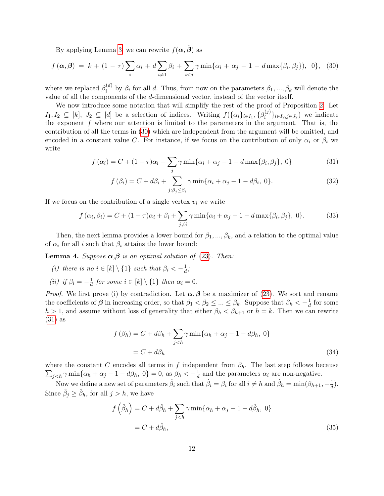By applying Lemma [3,](#page-10-4) we can rewrite  $f(\alpha, \hat{\beta})$  as

$$
f(\boldsymbol{\alpha},\boldsymbol{\beta}) = k + (1-\tau)\sum_{i} \alpha_i + d \sum_{i \neq 1} \beta_i + \sum_{i < j} \gamma \min\{\alpha_i + \alpha_j - 1 - d \max\{\beta_i, \beta_j\}, 0\}, \tag{30}
$$

where we replaced  $\beta_i^{(d)}$  $\beta_i^{(a)}$  by  $\beta_i$  for all d. Thus, from now on the parameters  $\beta_1, ..., \beta_k$  will denote the value of all the components of the d-dimensional vector, instead of the vector itself.

We now introduce some notation that will simplify the rest of the proof of Proposition [2.](#page-10-2) Let  $I_1, I_2 \subseteq [k], J_2 \subseteq [d]$  be a selection of indices. Writing  $f(\{\alpha_i\}_{i\in I_1}, \{\beta_i^{(j)}\})$  $\{S_i^{(j)}\}_{i\in I_2,j\in J_2}$  we indicate the exponent  $f$  where our attention is limited to the parameters in the argument. That is, the contribution of all the terms in [\(30\)](#page-11-0) which are independent from the argument will be omitted, and encoded in a constant value C. For instance, if we focus on the contribution of only  $\alpha_i$  or  $\beta_i$  we write

$$
f(\alpha_i) = C + (1 - \tau)\alpha_i + \sum_j \gamma \min\{\alpha_i + \alpha_j - 1 - d\max\{\beta_i, \beta_j\}, 0\}
$$
 (31)

<span id="page-11-2"></span><span id="page-11-1"></span><span id="page-11-0"></span>
$$
f(\beta_i) = C + d\beta_i + \sum_{j:\beta_j \leq \beta_i} \gamma \min\{\alpha_i + \alpha_j - 1 - d\beta_i, 0\}.
$$
 (32)

If we focus on the contribution of a single vertex  $v_i$  we write

$$
f(\alpha_i, \beta_i) = C + (1 - \tau)\alpha_i + \beta_i + \sum_{j \neq i} \gamma \min\{\alpha_i + \alpha_j - 1 - d \max\{\beta_i, \beta_j\}, 0\}.
$$
 (33)

Then, the next lemma provides a lower bound for  $\beta_1, ..., \beta_k$ , and a relation to the optimal value of  $\alpha_i$  for all i such that  $\beta_i$  attains the lower bound:

<span id="page-11-3"></span>**Lemma 4.** Suppose  $\alpha, \beta$  is an optimal solution of [\(23\)](#page-10-3). Then:

- (i) there is no  $i \in [k] \setminus \{1\}$  such that  $\beta_i < -\frac{1}{d}$  $\frac{1}{d}$ ;
- (*ii*) if  $\beta_i = -\frac{1}{d}$  $\frac{1}{d}$  for some  $i \in [k] \setminus \{1\}$  then  $\alpha_i = 0$ .

*Proof.* We first prove (i) by contradiction. Let  $\alpha, \beta$  be a maximizer of [\(23\)](#page-10-3). We sort and rename the coefficients of  $\beta$  in increasing order, so that  $\beta_1 < \beta_2 \leq ... \leq \beta_k$ . Suppose that  $\beta_k < -\frac{1}{d}$  $\frac{1}{d}$  for some  $h > 1$ , and assume without loss of generality that either  $\beta_h < \beta_{h+1}$  or  $h = k$ . Then we can rewrite [\(31\)](#page-11-1) as

$$
f(\beta_h) = C + d\beta_h + \sum_{j < h} \gamma \min\{\alpha_h + \alpha_j - 1 - d\beta_h, 0\}
$$
\n
$$
= C + d\beta_h \tag{34}
$$

 $\sum_{j < h} \gamma \min\{\alpha_h + \alpha_j - 1 - d\beta_h, 0\} = 0$ , as  $\beta_h < -\frac{1}{d}$ where the constant C encodes all terms in f independent from  $\beta_h$ . The last step follows because  $\frac{1}{d}$  and the parameters  $\alpha_i$  are non-negative.

Now we define a new set of parameters  $\hat{\beta}_i$  such that  $\hat{\beta}_i = \beta_i$  for all  $i \neq h$  and  $\hat{\beta}_h = \min(\beta_{h+1}, -\frac{1}{d})$  $\frac{1}{d}$ ). Since  $\hat{\beta}_j \geq \hat{\beta}_h$ , for all  $j > h$ , we have

$$
f\left(\hat{\beta}_h\right) = C + d\hat{\beta}_h + \sum_{j < h} \gamma \min\{\alpha_h + \alpha_j - 1 - d\hat{\beta}_h, 0\}
$$
\n
$$
= C + d\hat{\beta}_h,\tag{35}
$$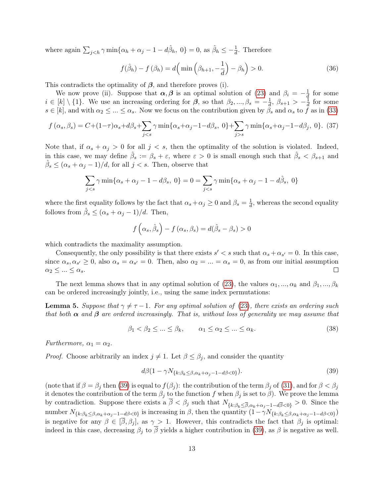where again  $\sum_{j < h} \gamma \min\{\alpha_h + \alpha_j - 1 - d\hat{\beta}_h, 0\} = 0$ , as  $\hat{\beta}_h \leq -\frac{1}{d}$ . Therefore

$$
f(\hat{\beta}_h) - f(\beta_h) = d\left(\min\left(\beta_{h+1}, -\frac{1}{d}\right) - \beta_h\right) > 0.
$$
 (36)

This contradicts the optimality of  $\beta$ , and therefore proves (i).

We now prove (ii). Suppose that  $\alpha, \beta$  is an optimal solution of [\(23\)](#page-10-3) and  $\beta_i = -\frac{1}{d}$  $\frac{1}{q}$  for some  $i \in [k] \setminus \{1\}$ . We use an increasing ordering for  $\beta$ , so that  $\beta_2, ..., \beta_s = -\frac{1}{d}$  $\frac{1}{d}$ ,  $\beta_{s+1} > -\frac{1}{d}$  $\frac{1}{d}$  for some  $s \in [k]$ , and with  $\alpha_2 \leq ... \leq \alpha_s$ . Now we focus on the contribution given by  $\beta_s$  and  $\alpha_s$  to f as in [\(33\)](#page-11-2)

$$
f\left(\alpha_s, \beta_s\right) = C + (1 - \tau)\alpha_s + d\beta_s + \sum_{j < s} \gamma \min\{\alpha_s + \alpha_j - 1 - d\beta_s, 0\} + \sum_{j > s} \gamma \min\{\alpha_s + \alpha_j - 1 - d\beta_j, 0\}.\tag{37}
$$

Note that, if  $\alpha_s + \alpha_j > 0$  for all  $j < s$ , then the optimality of the solution is violated. Indeed, in this case, we may define  $\hat{\beta}_s := \beta_s + \varepsilon$ , where  $\varepsilon > 0$  is small enough such that  $\hat{\beta}_s < \beta_{s+1}$  and  $\hat{\beta}_s \leq (\alpha_s + \alpha_j - 1)/d$ , for all  $j < s$ . Then, observe that

$$
\sum_{j
$$

where the first equality follows by the fact that  $\alpha_s + \alpha_j \geq 0$  and  $\beta_s = \frac{1}{d}$  $\frac{1}{d}$ , whereas the second equality follows from  $\hat{\beta}_s \leq (\alpha_s + \alpha_j - 1)/d$ . Then,

$$
f\left(\alpha_s, \hat{\beta}_s\right) - f\left(\alpha_s, \beta_s\right) = d(\hat{\beta}_s - \beta_s) > 0
$$

which contradicts the maximality assumption.

Consequently, the only possibility is that there exists  $s' < s$  such that  $\alpha_s + \alpha_{s'} = 0$ . In this case, since  $\alpha_s, \alpha_{s'} \geq 0$ , also  $\alpha_s = \alpha_{s'} = 0$ . Then, also  $\alpha_2 = ... = \alpha_s = 0$ , as from our initial assumption  $\alpha_2 \leq ... \leq \alpha_s$ .  $\Box$ 

The next lemma shows that in any optimal solution of [\(23\)](#page-10-3), the values  $\alpha_1, ..., \alpha_k$  and  $\beta_1, ..., \beta_k$ can be ordered increasingly jointly, i.e., using the same index permutations:

<span id="page-12-1"></span>**Lemma 5.** Suppose that  $\gamma \neq \tau - 1$ . For any optimal solution of [\(23\)](#page-10-3), there exists an ordering such that both  $\alpha$  and  $\beta$  are ordered increasingly. That is, without loss of generality we may assume that

<span id="page-12-2"></span>
$$
\beta_1 < \beta_2 \le \dots \le \beta_k, \qquad \alpha_1 \le \alpha_2 \le \dots \le \alpha_k. \tag{38}
$$

Furthermore,  $\alpha_1 = \alpha_2$ .

*Proof.* Choose arbitrarily an index  $j \neq 1$ . Let  $\beta \leq \beta_j$ , and consider the quantity

<span id="page-12-0"></span>
$$
d\beta(1 - \gamma N_{\{k:\beta_k \le \beta, \alpha_k + \alpha_j - 1 - d\beta < 0\}}). \tag{39}
$$

(note that if  $\beta = \beta_i$  then [\(39\)](#page-12-0) is equal to  $f(\beta_i)$ : the contribution of the term  $\beta_i$  of [\(31\)](#page-11-1), and for  $\beta < \beta_i$ it denotes the contribution of the term  $\beta_j$  to the function f when  $\beta_j$  is set to  $\beta$ ). We prove the lemma by contradiction. Suppose there exists a  $\overline{\beta} < \beta_j$  such that  $N_{\{k:\beta_k \leq \overline{\beta}, \alpha_k + \alpha_j - 1 - d\overline{\beta} < 0\}} > 0$ . Since the number  $N_{\{k:\beta_k\leq\beta,\alpha_k+\alpha_j-1-d\beta<0\}}$  is increasing in  $\beta$ , then the quantity  $(1-\gamma N_{\{k:\beta_k\leq\beta,\alpha_k+\alpha_j-1-d\beta<0\}})$ is negative for any  $\beta \in [\beta, \beta_i]$ , as  $\gamma > 1$ . However, this contradicts the fact that  $\beta_i$  is optimal: indeed in this case, decreasing  $\beta_i$  to  $\overline{\beta}$  yields a higher contribution in [\(39\)](#page-12-0), as  $\beta$  is negative as well.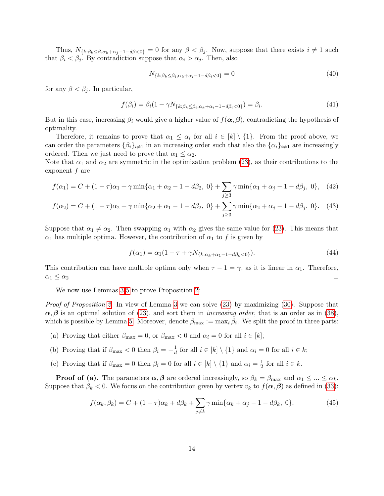Thus,  $N_{\{k:\beta_k\leq \beta,\alpha_k+\alpha_j-1-d\beta\leq 0\}}=0$  for any  $\beta<\beta_j$ . Now, suppose that there exists  $i\neq 1$  such that  $\beta_i < \beta_j$ . By contradiction suppose that  $\alpha_i > \alpha_j$ . Then, also

$$
N_{\{k:\beta_k \leq \beta_i, \alpha_k + \alpha_i - 1 - d\beta_i < 0\}} = 0\tag{40}
$$

for any  $\beta < \beta_j$ . In particular,

$$
f(\beta_i) = \beta_i (1 - \gamma N_{\{k : \beta_k \le \beta_i, \alpha_k + \alpha_i - 1 - d\beta_i < 0\}}) = \beta_i. \tag{41}
$$

But in this case, increasing  $\beta_i$  would give a higher value of  $f(\alpha, \beta)$ , contradicting the hypothesis of optimality.

Therefore, it remains to prove that  $\alpha_1 \leq \alpha_i$  for all  $i \in [k] \setminus \{1\}$ . From the proof above, we can order the parameters  $\{\beta_i\}_{i\neq 1}$  in an increasing order such that also the  $\{\alpha_i\}_{i\neq 1}$  are increasingly ordered. Then we just need to prove that  $\alpha_1 \leq \alpha_2$ .

Note that  $\alpha_1$  and  $\alpha_2$  are symmetric in the optimization problem [\(23\)](#page-10-3), as their contributions to the exponent  $f$  are

$$
f(\alpha_1) = C + (1 - \tau)\alpha_1 + \gamma \min\{\alpha_1 + \alpha_2 - 1 - d\beta_2, 0\} + \sum_{j \ge 3} \gamma \min\{\alpha_1 + \alpha_j - 1 - d\beta_j, 0\}, \quad (42)
$$

$$
f(\alpha_2) = C + (1 - \tau)\alpha_2 + \gamma \min\{\alpha_2 + \alpha_1 - 1 - d\beta_2, 0\} + \sum_{j \ge 3} \gamma \min\{\alpha_2 + \alpha_j - 1 - d\beta_j, 0\}.
$$
 (43)

Suppose that  $\alpha_1 \neq \alpha_2$ . Then swapping  $\alpha_1$  with  $\alpha_2$  gives the same value for [\(23\)](#page-10-3). This means that  $\alpha_1$  has multiple optima. However, the contribution of  $\alpha_1$  to f is given by

$$
f(\alpha_1) = \alpha_1 (1 - \tau + \gamma N_{\{k:\alpha_k + \alpha_1 - 1 - d\beta_k < 0\}}). \tag{44}
$$

This contribution can have multiple optima only when  $\tau - 1 = \gamma$ , as it is linear in  $\alpha_1$ . Therefore,  $\Box$  $\alpha_1 \leq \alpha_2$ 

We now use Lemmas [3](#page-10-4)[-5](#page-12-1) to prove Proposition [2:](#page-10-2)

Proof of Proposition [2.](#page-10-2) In view of Lemma [3](#page-10-4) we can solve [\(23\)](#page-10-3) by maximizing [\(30\)](#page-11-0). Suppose that  $\alpha, \beta$  is an optimal solution of [\(23\)](#page-10-3), and sort them in *increasing order*, that is an order as in [\(38\)](#page-12-2), which is possible by Lemma [5.](#page-12-1) Moreover, denote  $\beta_{\max} := \max_i \beta_i$ . We split the proof in three parts:

- (a) Proving that either  $\beta_{\text{max}} = 0$ , or  $\beta_{\text{max}} < 0$  and  $\alpha_i = 0$  for all  $i \in [k]$ ;
- (b) Proving that if  $\beta_{\text{max}} < 0$  then  $\beta_i = -\frac{1}{d}$  $\frac{1}{d}$  for all  $i \in [k] \setminus \{1\}$  and  $\alpha_i = 0$  for all  $i \in k$ ;
- (c) Proving that if  $\beta_{\text{max}} = 0$  then  $\beta_i = 0$  for all  $i \in [k] \setminus \{1\}$  and  $\alpha_i = \frac{1}{2}$  $\frac{1}{2}$  for all  $i \in k$ .

**Proof of (a).** The parameters  $\alpha, \beta$  are ordered increasingly, so  $\beta_k = \beta_{\text{max}}$  and  $\alpha_1 \leq ... \leq \alpha_k$ . Suppose that  $\beta_k < 0$ . We focus on the contribution given by vertex  $v_k$  to  $f(\alpha, \beta)$  as defined in [\(33\)](#page-11-2):

<span id="page-13-0"></span>
$$
f(\alpha_k, \beta_k) = C + (1 - \tau)\alpha_k + d\beta_k + \sum_{j \neq k} \gamma \min\{\alpha_k + \alpha_j - 1 - d\beta_k, 0\},\tag{45}
$$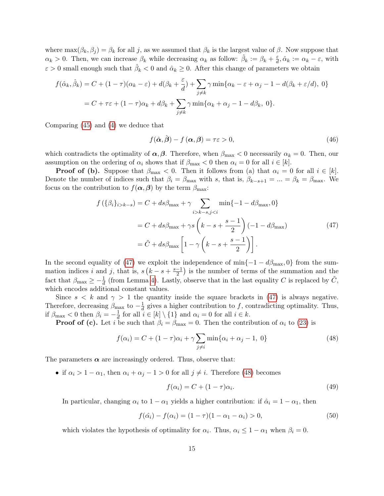where  $\max(\beta_k, \beta_j) = \beta_k$  for all j, as we assumed that  $\beta_k$  is the largest value of  $\beta$ . Now suppose that  $\alpha_k > 0$ . Then, we can increase  $\beta_k$  while decreasing  $\alpha_k$  as follow:  $\hat{\beta}_k := \beta_k + \frac{\varepsilon}{d}$  $\frac{\varepsilon}{d}, \hat{\alpha}_k := \alpha_k - \varepsilon$ , with  $\varepsilon > 0$  small enough such that  $\hat{\beta}_k < 0$  and  $\hat{\alpha}_k \geq 0$ . After this change of parameters we obtain

$$
f(\hat{\alpha}_k, \hat{\beta}_k) = C + (1 - \tau)(\alpha_k - \varepsilon) + d(\beta_k + \frac{\varepsilon}{d}) + \sum_{j \neq k} \gamma \min{\{\alpha_k - \varepsilon + \alpha_j - 1 - d(\beta_k + \varepsilon/d), 0\}}
$$
  
=  $C + \tau \varepsilon + (1 - \tau)\alpha_k + d\beta_k + \sum_{j \neq k} \gamma \min{\{\alpha_k + \alpha_j - 1 - d\beta_k, 0\}}.$ 

Comparing [\(45\)](#page-13-0) and [\(4\)](#page-13-0) we deduce that

$$
f(\hat{\alpha}, \hat{\beta}) - f(\alpha, \beta) = \tau \varepsilon > 0,
$$
\n(46)

which contradicts the optimality of  $\alpha, \beta$ . Therefore, when  $\beta_{\text{max}} < 0$  necessarily  $\alpha_k = 0$ . Then, our assumption on the ordering of  $\alpha_i$  shows that if  $\beta_{\text{max}} < 0$  then  $\alpha_i = 0$  for all  $i \in [k]$ .

**Proof of (b).** Suppose that  $\beta_{\text{max}} < 0$ . Then it follows from (a) that  $\alpha_i = 0$  for all  $i \in [k]$ . Denote the number of indices such that  $\beta_i = \beta_{\text{max}}$  with s, that is,  $\beta_{k-s+1} = ... = \beta_k = \beta_{\text{max}}$ . We focus on the contribution to  $f(\boldsymbol{\alpha}, \boldsymbol{\beta})$  by the term  $\beta_{\text{max}}$ :

$$
f\left(\{\beta_i\}_{i>k-s}\right) = C + ds\beta_{\max} + \gamma \sum_{i>k-s,j
$$
= C + ds\beta_{\max} + \gamma s \left(k - s + \frac{s-1}{2}\right) \left(-1 - d\beta_{\max}\right)
$$

$$
= \tilde{C} + ds\beta_{\max} \left[1 - \gamma \left(k - s + \frac{s-1}{2}\right)\right].
$$
(47)
$$

<span id="page-14-0"></span>In the second equality of [\(47\)](#page-14-0) we exploit the independence of min $\{-1 - d\beta_{\text{max}}, 0\}$  from the summation indices i and j, that is,  $s(k-s+\frac{s-1}{2})$  $\frac{-1}{2}$ ) is the number of terms of the summation and the fact that  $\beta_{\max} \geq -\frac{1}{d}$  (from Lemma [4\)](#page-11-3). Lastly, observe that in the last equality C is replaced by  $\tilde{C}$ , which encodes additional constant values.

Since  $s < k$  and  $\gamma > 1$  the quantity inside the square brackets in [\(47\)](#page-14-0) is always negative. Therefore, decreasing  $\beta_{\text{max}}$  to  $-\frac{1}{d}$  $\frac{1}{d}$  gives a higher contribution to f, contradicting optimality. Thus, if  $\beta_{\text{max}} < 0$  then  $\beta_i = -\frac{1}{d}$  $\frac{1}{d}$  for all  $i \in [k] \setminus \{1\}$  and  $\alpha_i = 0$  for all  $i \in k$ .

**Proof of (c).** Let i be such that  $\beta_i = \beta_{\text{max}} = 0$ . Then the contribution of  $\alpha_i$  to [\(23\)](#page-10-3) is

<span id="page-14-1"></span>
$$
f(\alpha_i) = C + (1 - \tau)\alpha_i + \gamma \sum_{j \neq i} \min\{\alpha_i + \alpha_j - 1, 0\}
$$
 (48)

The parameters  $\alpha$  are increasingly ordered. Thus, observe that:

• if  $\alpha_i > 1 - \alpha_1$ , then  $\alpha_i + \alpha_j - 1 > 0$  for all  $j \neq i$ . Therefore [\(48\)](#page-14-1) becomes

$$
f(\alpha_i) = C + (1 - \tau)\alpha_i.
$$
\n(49)

In particular, changing  $\alpha_i$  to  $1 - \alpha_1$  yields a higher contribution: if  $\hat{\alpha}_i = 1 - \alpha_1$ , then

$$
f(\hat{\alpha_i}) - f(\alpha_i) = (1 - \tau)(1 - \alpha_1 - \alpha_i) > 0,
$$
\n(50)

which violates the hypothesis of optimality for  $\alpha_i$ . Thus,  $\alpha_i \leq 1 - \alpha_1$  when  $\beta_i = 0$ .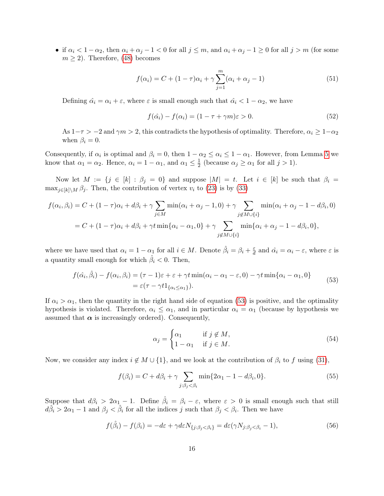• if  $\alpha_i < 1 - \alpha_2$ , then  $\alpha_i + \alpha_j - 1 < 0$  for all  $j \le m$ , and  $\alpha_i + \alpha_j - 1 \ge 0$  for all  $j > m$  (for some  $m \geq 2$ ). Therefore, [\(48\)](#page-14-1) becomes

$$
f(\alpha_i) = C + (1 - \tau)\alpha_i + \gamma \sum_{j=1}^{m} (\alpha_i + \alpha_j - 1)
$$
 (51)

Defining  $\hat{\alpha}_i = \alpha_i + \varepsilon$ , where  $\varepsilon$  is small enough such that  $\hat{\alpha}_i < 1 - \alpha_2$ , we have

$$
f(\hat{\alpha}_i) - f(\alpha_i) = (1 - \tau + \gamma m)\varepsilon > 0.
$$
\n(52)

As  $1-\tau > -2$  and  $\gamma m > 2$ , this contradicts the hypothesis of optimality. Therefore,  $\alpha_i \geq 1-\alpha_2$ when  $\beta_i = 0$ .

Consequently, if  $\alpha_i$  is optimal and  $\beta_i = 0$ , then  $1 - \alpha_2 \leq \alpha_i \leq 1 - \alpha_1$ . However, from Lemma [5](#page-12-1) we know that  $\alpha_1 = \alpha_2$ . Hence,  $\alpha_i = 1 - \alpha_1$ , and  $\alpha_1 \leq \frac{1}{2}$  $\frac{1}{2}$  (because  $\alpha_j \geq \alpha_1$  for all  $j > 1$ ).

Now let  $M := \{j \in [k] : \beta_j = 0\}$  and suppose  $|M| = t$ . Let  $i \in [k]$  be such that  $\beta_i =$  $\max_{j\in[k]\setminus M} \beta_j$ . Then, the contribution of vertex  $v_i$  to [\(23\)](#page-10-3) is by [\(33\)](#page-11-2)

$$
f(\alpha_i, \beta_i) = C + (1 - \tau)\alpha_i + d\beta_i + \gamma \sum_{j \in M} \min(\alpha_i + \alpha_j - 1, 0) + \gamma \sum_{j \notin M \cup \{i\}} \min(\alpha_i + \alpha_j - 1 - d\beta_i, 0)
$$
  
= C + (1 - \tau)\alpha\_i + d\beta\_i + \gamma t \min{\alpha\_i - \alpha\_1, 0} + \gamma \sum\_{j \notin M \cup \{i\}} \min{\alpha\_i + \alpha\_j - 1 - d\beta\_i, 0},

where we have used that  $\alpha_i = 1 - \alpha_1$  for all  $i \in M$ . Denote  $\hat{\beta}_i = \beta_i + \frac{\varepsilon}{d}$  $\frac{\varepsilon}{d}$  and  $\hat{\alpha_i} = \alpha_i - \varepsilon$ , where  $\varepsilon$  is a quantity small enough for which  $\hat{\beta}_i < 0$ . Then,

$$
f(\hat{\alpha}_i, \hat{\beta}_i) - f(\alpha_i, \beta_i) = (\tau - 1)\varepsilon + \varepsilon + \gamma t \min(\alpha_i - \alpha_1 - \varepsilon, 0) - \gamma t \min{\alpha_i - \alpha_1, 0}
$$
  
=  $\varepsilon(\tau - \gamma t 1_{\{\alpha_i \le \alpha_1\}}).$  (53)

<span id="page-15-0"></span>If  $\alpha_i > \alpha_1$ , then the quantity in the right hand side of equation [\(53\)](#page-15-0) is positive, and the optimality hypothesis is violated. Therefore,  $\alpha_i \leq \alpha_1$ , and in particular  $\alpha_i = \alpha_1$  (because by hypothesis we assumed that  $\alpha$  is increasingly ordered). Consequently,

$$
\alpha_j = \begin{cases} \alpha_1 & \text{if } j \notin M, \\ 1 - \alpha_1 & \text{if } j \in M. \end{cases}
$$
 (54)

Now, we consider any index  $i \notin M \cup \{1\}$ , and we look at the contribution of  $\beta_i$  to f using [\(31\)](#page-11-1),

<span id="page-15-1"></span>
$$
f(\beta_i) = C + d\beta_i + \gamma \sum_{j:\beta_j < \beta_i} \min\{2\alpha_1 - 1 - d\beta_i, 0\}.\tag{55}
$$

Suppose that  $d\beta_i > 2\alpha_1 - 1$ . Define  $\hat{\beta}_i = \beta_i - \varepsilon$ , where  $\varepsilon > 0$  is small enough such that still  $d\hat{\beta}_i > 2\alpha_1 - 1$  and  $\beta_j < \hat{\beta}_i$  for all the indices j such that  $\beta_j < \beta_i$ . Then we have

$$
f(\hat{\beta}_i) - f(\beta_i) = -d\varepsilon + \gamma d\varepsilon N_{\{j:\beta_j < \beta_i\}} = d\varepsilon(\gamma N_{j:\beta_j < \beta_i} - 1),\tag{56}
$$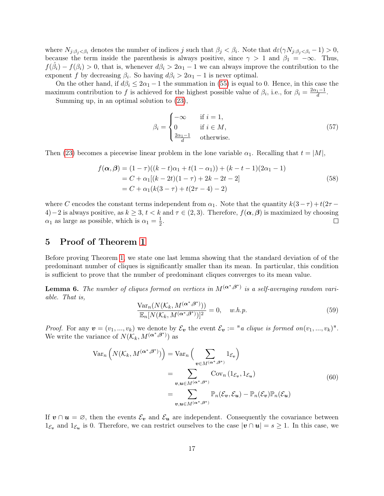where  $N_{j:\beta_j<\beta_i}$  denotes the number of indices j such that  $\beta_j<\beta_i$ . Note that  $d\varepsilon(\gamma N_{j:\beta_j<\beta_i}-1)>0$ , because the term inside the parenthesis is always positive, since  $\gamma > 1$  and  $\beta_1 = -\infty$ . Thus,  $f(\hat{\beta}_i) - f(\beta_i) > 0$ , that is, whenever  $d\beta_i > 2\alpha_1 - 1$  we can always improve the contribution to the exponent f by decreasing  $\beta_i$ . So having  $d\beta_i > 2\alpha_1 - 1$  is never optimal.

On the other hand, if  $d\beta_i \leq 2\alpha_1 - 1$  the summation in [\(55\)](#page-15-1) is equal to 0. Hence, in this case the maximum contribution to f is achieved for the highest possible value of  $\beta_i$ , i.e., for  $\beta_i = \frac{2\alpha_1 - 1}{d}$ . Summing up, in an optimal solution to [\(23\)](#page-10-3),

> $\beta_i =$  $\sqrt{ }$  $\int$  $\overline{\mathcal{L}}$  $-\infty$  if  $i = 1$ , 0 if  $i \in M$ ,  $\frac{2\alpha_1-1}{d}$  otherwise.

(57)

Then [\(23\)](#page-10-3) becomes a piecewise linear problem in the lone variable  $\alpha_1$ . Recalling that  $t = |M|$ ,

$$
f(\alpha, \beta) = (1 - \tau)((k - t)\alpha_1 + t(1 - \alpha_1)) + (k - t - 1)(2\alpha_1 - 1)
$$
  
=  $C + \alpha_1[(k - 2t)(1 - \tau) + 2k - 2t - 2]$   
=  $C + \alpha_1(k(3 - \tau) + t(2\tau - 4) - 2)$  (58)

where C encodes the constant terms independent from  $\alpha_1$ . Note that the quantity  $k(3-\tau) + t(2\tau -$ 4)−2 is always positive, as  $k \geq 3$ ,  $t < k$  and  $\tau \in (2,3)$ . Therefore,  $f(\alpha, \beta)$  is maximized by choosing  $\alpha_1$  as large as possible, which is  $\alpha_1 = \frac{1}{2}$  $\frac{1}{2}$ .  $\Box$ 

### <span id="page-16-0"></span>5 Proof of Theorem [1](#page-4-0)

Before proving Theorem [1,](#page-4-0) we state one last lemma showing that the standard deviation of of the predominant number of cliques is significantly smaller than its mean. In particular, this condition is sufficient to prove that the number of predominant cliques converges to its mean value.

<span id="page-16-2"></span>**Lemma 6.** The number of cliques formed on vertices in  $M^{(\boldsymbol{\alpha}^*, \boldsymbol{\beta}^*)}$  is a self-averaging random variable. That is,

$$
\frac{\text{Var}_n(N(\mathcal{K}_k, M^{(\alpha^*, \beta^*)}))}{\mathbb{E}_n[N(\mathcal{K}_k, M^{(\alpha^*, \beta^*)})]^2} = 0, \quad w.h.p.
$$
\n(59)

*Proof.* For any  $v = (v_1, ..., v_k)$  we denote by  $\mathcal{E}_v$  the event  $\mathcal{E}_v := "a \; clique \; is \; formed \; on(v_1, ..., v_k)".$ We write the variance of  $N(\mathcal{K}_k, M^{(\boldsymbol{\alpha}^*, \boldsymbol{\beta}^*)})$  as

$$
\operatorname{Var}_{n}\left(N(\mathcal{K}_{k}, M^{(\alpha^{*}, \beta^{*})})\right) = \operatorname{Var}_{n}\left(\sum_{\mathbf{v} \in M^{(\alpha^{*}, \beta^{*})}} 1_{\mathcal{E}_{\mathbf{v}}}\right)
$$

$$
= \sum_{\mathbf{v}, \mathbf{u} \in M^{(\alpha^{*}, \beta^{*})}} \operatorname{Cov}_{n}\left(1_{\mathcal{E}_{\mathbf{v}}}, 1_{\mathcal{E}_{\mathbf{u}}}\right)
$$

$$
= \sum_{\mathbf{v}, \mathbf{u} \in M^{(\alpha^{*}, \beta^{*})}} \mathbb{P}_{n}(\mathcal{E}_{\mathbf{v}}, \mathcal{E}_{\mathbf{u}}) - \mathbb{P}_{n}(\mathcal{E}_{\mathbf{v}}) \mathbb{P}_{n}(\mathcal{E}_{\mathbf{u}})
$$
(60)

<span id="page-16-1"></span>If  $v \cap u = \emptyset$ , then the events  $\mathcal{E}_v$  and  $\mathcal{E}_u$  are independent. Consequently the covariance between  $1_{\mathcal{E}_v}$  and  $1_{\mathcal{E}_u}$  is 0. Therefore, we can restrict ourselves to the case  $|v \cap u| = s \ge 1$ . In this case, we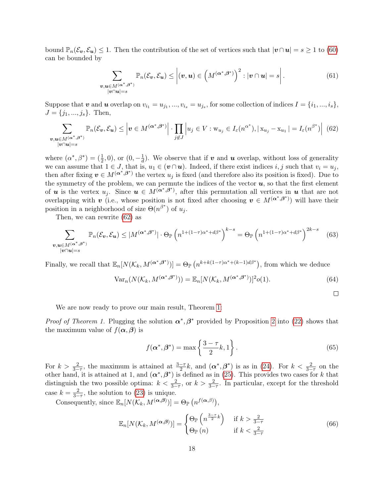bound  $\mathbb{P}_n(\mathcal{E}_v, \mathcal{E}_u) \leq 1$ . Then the contribution of the set of vertices such that  $|v \cap u| = s \geq 1$  to [\(60\)](#page-16-1) can be bounded by

$$
\sum_{\substack{\boldsymbol{v}, \boldsymbol{u} \in M^{(\boldsymbol{\alpha}^*, \boldsymbol{\beta}^*)} \\ |\boldsymbol{v} \cap \boldsymbol{u}| = s}} \mathbb{P}_n(\mathcal{E}_{\boldsymbol{v}}, \mathcal{E}_{\boldsymbol{u}}) \le \left| (\boldsymbol{v}, \boldsymbol{u}) \in \left( M^{(\boldsymbol{\alpha}^*, \boldsymbol{\beta}^*)} \right)^2 : |\boldsymbol{v} \cap \boldsymbol{u}| = s \right|.
$$
 (61)

Suppose that  $v$  and  $u$  overlap on  $v_{i_1} = u_{j_1},...,v_{i_s} = u_{j_s}$ , for some collection of indices  $I = \{i_1,...,i_s\}$ ,  $J = \{j_1, ..., j_s\}$ . Then,

<span id="page-17-0"></span>
$$
\sum_{\substack{\boldsymbol{v}, \boldsymbol{u} \in M^{(\boldsymbol{\alpha}^*, \boldsymbol{\beta}^*)} \\ |\boldsymbol{v} \cap \boldsymbol{u}| = s}} \mathbb{P}_n(\mathcal{E}_{\boldsymbol{v}}, \mathcal{E}_{\boldsymbol{u}}) \le \left| \boldsymbol{v} \in M^{(\boldsymbol{\alpha}^*, \boldsymbol{\beta}^*)} \right| \cdot \prod_{j \notin J} \left| u_j \in V : w_{u_j} \in I_{\varepsilon}(n^{\alpha^*}), |x_{u_j} - x_{u_1}| = I_{\varepsilon}(n^{\beta^*}) \right| \tag{62}
$$

where  $(\alpha^*, \beta^*) = (\frac{1}{2}, 0)$ , or  $(0, -\frac{1}{d})$  $\frac{1}{d}$ ). We observe that if **v** and **u** overlap, without loss of generality we can assume that  $1 \in J$ , that is,  $u_1 \in (v \cap u)$ . Indeed, if there exist indices i, j such that  $v_i = u_j$ , then after fixing  $v \in M^{(\alpha^*,\beta^*)}$  the vertex  $u_j$  is fixed (and therefore also its position is fixed). Due to the symmetry of the problem, we can permute the indices of the vector  $u$ , so that the first element of **u** is the vertex  $u_j$ . Since  $u \in M^{(\alpha^*,\beta^*)}$ , after this permutation all vertices in **u** that are not overlapping with v (i.e., whose position is not fixed after choosing  $v \in M^{(\alpha^*,\beta^*)}$ ) will have their position in a neighborhood of size  $\Theta(n^{\beta^*})$  of  $u_j$ .

Then, we can rewrite [\(62\)](#page-17-0) as

$$
\sum_{\substack{\boldsymbol{v}, \boldsymbol{u} \in M^{(\boldsymbol{\alpha}^*, \boldsymbol{\beta}^*)} \\ |\boldsymbol{v} \cap \boldsymbol{u}| = s}} \mathbb{P}_n(\mathcal{E}_{\boldsymbol{v}}, \mathcal{E}_{\boldsymbol{u}}) \le |M^{(\boldsymbol{\alpha}^*, \boldsymbol{\beta}^*)}| \cdot \Theta_{\mathbb{P}} \left( n^{1 + (1 - \tau)\boldsymbol{\alpha}^* + d\boldsymbol{\beta}^*} \right)^{k - s} = \Theta_{\mathbb{P}} \left( n^{1 + (1 - \tau)\boldsymbol{\alpha}^* + d\boldsymbol{\beta}^*} \right)^{2k - s} \tag{63}
$$

Finally, we recall that  $\mathbb{E}_n[N(\mathcal{K}_k, M^{(\boldsymbol{\alpha}^*, \boldsymbol{\beta}^*)})] = \Theta_{\mathbb{P}}\left(n^{k+k(1-\tau)\alpha^* + (k-1)d\beta^*}\right)$ , from which we deduce

$$
\text{Var}_n(N(\mathcal{K}_k, M^{(\alpha^*, \beta^*)})) = \mathbb{E}_n[N(\mathcal{K}_k, M^{(\alpha^*, \beta^*)})]^2 o(1). \tag{64}
$$

We are now ready to prove our main result, Theorem [1:](#page-4-0)

*Proof of Theorem 1.* Plugging the solution  $\alpha^*, \beta^*$  provided by Proposition [2](#page-10-2) into [\(22\)](#page-10-1) shows that the maximum value of  $f(\boldsymbol{\alpha}, \boldsymbol{\beta})$  is

$$
f(\boldsymbol{\alpha}^*, \boldsymbol{\beta}^*) = \max\left\{\frac{3-\tau}{2}k, 1\right\}.
$$
\n(65)

For  $k > \frac{2}{3-\tau}$ , the maximum is attained at  $\frac{3-\tau}{2}k$ , and  $(\alpha^*, \beta^*)$  is as in [\(24\)](#page-10-5). For  $k < \frac{2}{3-\tau}$  on the other hand, it is attained at 1, and  $(\alpha^*, \beta^*)$  is defined as in [\(25\)](#page-10-6). This provides two cases for k that distinguish the two possible optima:  $k < \frac{2}{3-\tau}$ , or  $k > \frac{2}{3-\tau}$ . In particular, except for the threshold case  $k = \frac{2}{3-\tau}$ , the solution to [\(23\)](#page-10-3) is unique.

Consequently, since  $\mathbb{E}_n[N(\mathcal{K}_k, M^{(\boldsymbol{\alpha},\boldsymbol{\beta})})] = \Theta_{\mathbb{P}}\left(n^{f(\boldsymbol{\alpha},\boldsymbol{\beta})}\right),$ 

$$
\mathbb{E}_n[N(\mathcal{K}_k, M^{(\alpha,\beta)})] = \begin{cases} \Theta_{\mathbb{P}}\left(n^{\frac{3-\tau}{2}k}\right) & \text{if } k > \frac{2}{3-\tau} \\ \Theta_{\mathbb{P}}\left(n\right) & \text{if } k < \frac{2}{3-\tau} \end{cases}
$$
(66)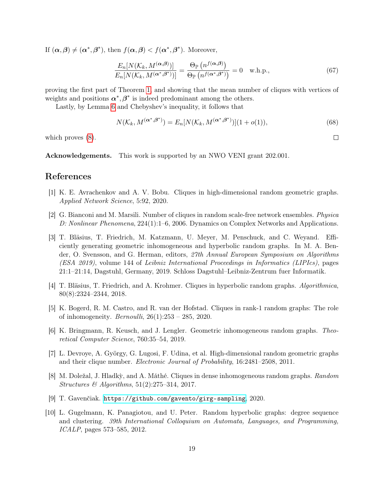If  $(\alpha, \beta) \neq (\alpha^*, \beta^*)$ , then  $f(\alpha, \beta) < f(\alpha^*, \beta^*)$ . Moreover,

$$
\frac{E_n[N(\mathcal{K}_k, M^{(\alpha,\beta)})]}{E_n[N(\mathcal{K}_k, M^{(\alpha^*,\beta^*)})]} = \frac{\Theta_{\mathbb{P}}\left(n^{f(\alpha,\beta)}\right)}{\Theta_{\mathbb{P}}\left(n^{f(\alpha^*,\beta^*)}\right)} = 0 \quad \text{w.h.p.,}
$$
\n(67)

proving the first part of Theorem [1,](#page-4-0) and showing that the mean number of cliques with vertices of weights and positions  $\alpha^*, \beta^*$  is indeed predominant among the others.

Lastly, by Lemma [6](#page-16-2) and Chebyshev's inequality, it follows that

$$
N(\mathcal{K}_k, M^{(\alpha^*, \beta^*)}) = E_n[N(\mathcal{K}_k, M^{(\alpha^*, \beta^*)})](1 + o(1)),
$$
\n(68)

which proves  $(8)$ .

Acknowledgements. This work is supported by an NWO VENI grant 202.001.

### References

- <span id="page-18-5"></span>[1] K. E. Avrachenkov and A. V. Bobu. Cliques in high-dimensional random geometric graphs. Applied Network Science, 5:92, 2020.
- <span id="page-18-3"></span>[2] G. Bianconi and M. Marsili. Number of cliques in random scale-free network ensembles. Physica D: Nonlinear Phenomena, 224(1):1–6, 2006. Dynamics on Complex Networks and Applications.
- <span id="page-18-8"></span>[3] T. Bläsius, T. Friedrich, M. Katzmann, U. Meyer, M. Penschuck, and C. Weyand. Efficiently generating geometric inhomogeneous and hyperbolic random graphs. In M. A. Bender, O. Svensson, and G. Herman, editors, 27th Annual European Symposium on Algorithms (ESA 2019), volume 144 of Leibniz International Proceedings in Informatics (LIPIcs), pages 21:1–21:14, Dagstuhl, Germany, 2019. Schloss Dagstuhl–Leibniz-Zentrum fuer Informatik.
- <span id="page-18-6"></span>[4] T. Bläsius, T. Friedrich, and A. Krohmer. Cliques in hyperbolic random graphs. Algorithmica, 80(8):2324–2344, 2018.
- <span id="page-18-4"></span>[5] K. Bogerd, R. M. Castro, and R. van der Hofstad. Cliques in rank-1 random graphs: The role of inhomogeneity. *Bernoulli*,  $26(1):253 - 285$ , 2020.
- <span id="page-18-1"></span>[6] K. Bringmann, R. Keusch, and J. Lengler. Geometric inhomogeneous random graphs. Theoretical Computer Science, 760:35–54, 2019.
- <span id="page-18-7"></span>[7] L. Devroye, A. György, G. Lugosi, F. Udina, et al. High-dimensional random geometric graphs and their clique number. Electronic Journal of Probability, 16:2481–2508, 2011.
- <span id="page-18-2"></span>[8] M. Doležal, J. Hladk`y, and A. Máthé. Cliques in dense inhomogeneous random graphs. Random Structures & Algorithms,  $51(2):275-314$ , 2017.
- <span id="page-18-9"></span>[9] T. Gavenčiak. <https://github.com/gavento/girg-sampling>, 2020.
- <span id="page-18-0"></span>[10] L. Gugelmann, K. Panagiotou, and U. Peter. Random hyperbolic graphs: degree sequence and clustering. 39th International Colloquium on Automata, Languages, and Programming, ICALP, pages 573–585, 2012.

 $\Box$